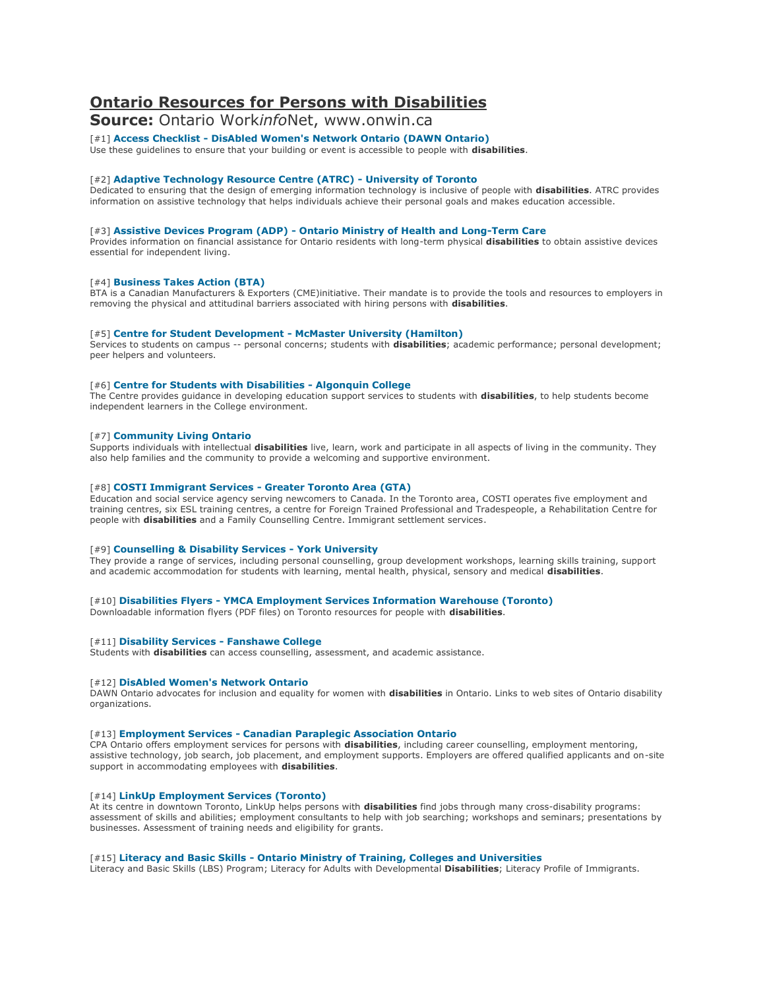# **Ontario Resources for Persons with Disabilities**

**Source:** Ontario Work*info*Net, www.onwin.ca

## [#1] **Access Checklist - [DisAbled Women's Network Ontario \(DAWN Ontario\)](http://dawn.thot.net/access_checklist_full.html)**

Use these guidelines to ensure that your building or event is accessible to people with **disabilities**.

## [#2] **[Adaptive Technology Resource Centre \(ATRC\) -](http://www.utoronto.ca/atrc/) University of Toronto**

Dedicated to ensuring that the design of emerging information technology is inclusive of people with **disabilities**. ATRC provides information on assistive technology that helps individuals achieve their personal goals and makes education accessible.

#### [#3] **Assistive Devices Program (ADP) - [Ontario Ministry of Health and Long-Term Care](http://www.health.gov.on.ca/english/public/pub/pub_menus/pub_adp.html)**

Provides information on financial assistance for Ontario residents with long-term physical **disabilities** to obtain assistive devices essential for independent living.

## [#4] **[Business Takes Action \(BTA\)](http://www.businesstakesaction.ca/)**

BTA is a Canadian Manufacturers & Exporters (CME)initiative. Their mandate is to provide the tools and resources to employers in removing the physical and attitudinal barriers associated with hiring persons with **disabilities**.

#### [#5] **[Centre for Student Development -](http://csd.mcmaster.ca/) McMaster University (Hamilton)**

Services to students on campus -- personal concerns; students with **disabilities**; academic performance; personal development; peer helpers and volunteers.

#### [#6] **[Centre for Students with Disabilities -](http://www.algonquincollege.com/studentservices/csd/) Algonquin College**

The Centre provides guidance in developing education support services to students with **disabilities**, to help students become independent learners in the College environment.

## [#7] **[Community Living Ontario](http://www.communitylivingontario.ca/)**

Supports individuals with intellectual **disabilities** live, learn, work and participate in all aspects of living in the community. They also help families and the community to provide a welcoming and supportive environment.

#### [#8] **[COSTI Immigrant Services -](http://www.costi.org/) Greater Toronto Area (GTA)**

Education and social service agency serving newcomers to Canada. In the Toronto area, COSTI operates five employment and training centres, six ESL training centres, a centre for Foreign Trained Professional and Tradespeople, a Rehabilitation Centre for people with **disabilities** and a Family Counselling Centre. Immigrant settlement services.

#### [#9] **[Counselling & Disability Services -](http://www.yorku.ca/cds/) York University**

They provide a range of services, including personal counselling, group development workshops, learning skills training, support and academic accommodation for students with learning, mental health, physical, sensory and medical **disabilities**.

## [#10] **Disabilities Flyers - [YMCA Employment Services Information Warehouse \(Toronto\)](http://www.employmentflyers.org/flyers.html?type=7)**

Downloadable information flyers (PDF files) on Toronto resources for people with **disabilities**.

#### [#11] **[Disability Services -](http://www.fanshawec.on.ca/disability/default.asp) Fanshawe College**

Students with **disabilities** can access counselling, assessment, and academic assistance.

#### [#12] **[DisAbled Women's Network Ontario](http://dawn.thot.net/)**

DAWN Ontario advocates for inclusion and equality for women with **disabilities** in Ontario. Links to web sites of Ontario disability organizations.

#### [#13] **Employment Services - [Canadian Paraplegic Association Ontario](http://www.cpaont.org/service/employment)**

CPA Ontario offers employment services for persons with **disabilities**, including career counselling, employment mentoring, assistive technology, job search, job placement, and employment supports. Employers are offered qualified applicants and on-site support in accommodating employees with **disabilities**.

#### [#14] **[LinkUp Employment Services \(Toronto\)](http://www.linkup.ca/)**

At its centre in downtown Toronto, LinkUp helps persons with **disabilities** find jobs through many cross-disability programs: assessment of skills and abilities; employment consultants to help with job searching; workshops and seminars; presentations by businesses. Assessment of training needs and eligibility for grants.

## [#15] **Literacy and Basic Skills - [Ontario Ministry of Training, Colleges and Universities](http://www.edu.gov.on.ca/eng/training/literacy/main.html)**

Literacy and Basic Skills (LBS) Program; Literacy for Adults with Developmental **Disabilities**; Literacy Profile of Immigrants.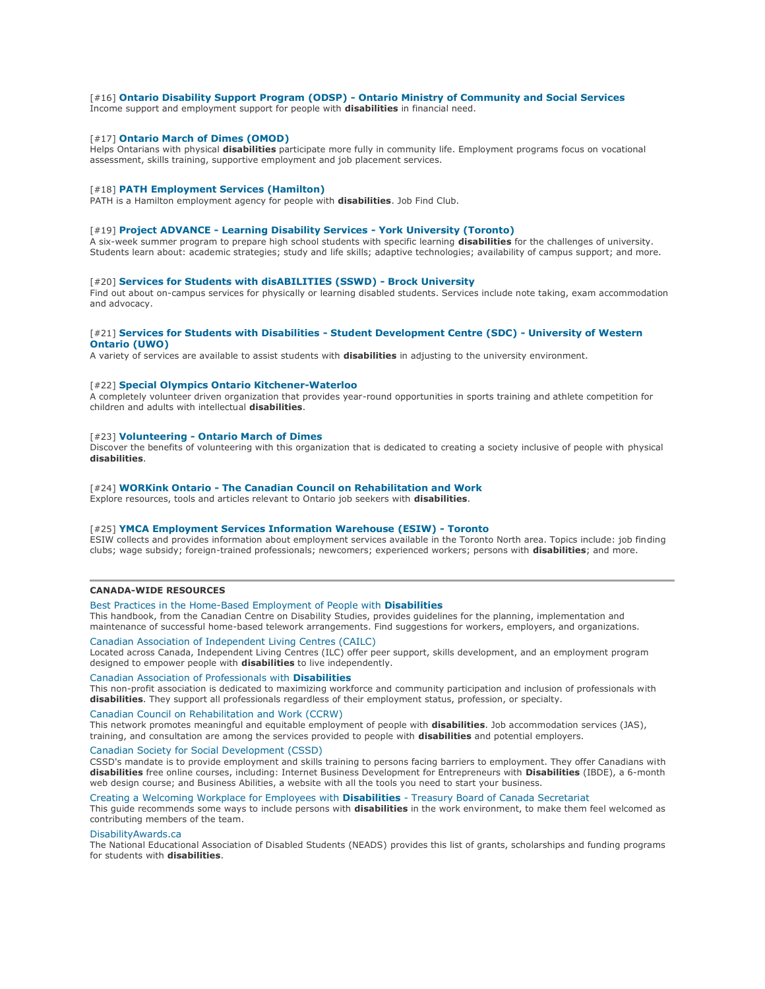#### [#16] **Ontario Disability Support Program (ODSP) - [Ontario Ministry of Community and Social Services](http://www.mcss.gov.on.ca/en/mcss/programs/social/odsp/)**

Income support and employment support for people with **disabilities** in financial need.

#### [#17] **[Ontario March of Dimes \(OMOD\)](http://www.marchofdimes.ca/)**

Helps Ontarians with physical **disabilities** participate more fully in community life. Employment programs focus on vocational assessment, skills training, supportive employment and job placement services.

#### [#18] **[PATH Employment Services \(Hamilton\)](http://www.pathemployment.com/)**

PATH is a Hamilton employment agency for people with **disabilities**. Job Find Club.

#### [#19] **Project ADVANCE - [Learning Disability Services -](http://www.yorku.ca/cds/lds/projectadvance.html) York University (Toronto)**

A six-week summer program to prepare high school students with specific learning **disabilities** for the challenges of university. Students learn about: academic strategies; study and life skills; adaptive technologies; availability of campus support; and more.

## [#20] **[Services for Students with disABILITIES \(SSWD\) -](http://www.brocku.ca/sdc/disABILITIES/) Brock University**

Find out about on-campus services for physically or learning disabled students. Services include note taking, exam accommodation and advocacy.

#### [#21] **[Services for Students with Disabilities -](http://www.sdc.uwo.ca/ssd/index.html) Student Development Centre (SDC) - University of Western [Ontario \(UWO\)](http://www.sdc.uwo.ca/ssd/index.html)**

A variety of services are available to assist students with **disabilities** in adjusting to the university environment.

#### [#22] **[Special Olympics Ontario Kitchener-Waterloo](http://www.kwspecialolympics.org/)**

A completely volunteer driven organization that provides year-round opportunities in sports training and athlete competition for children and adults with intellectual **disabilities**.

#### [#23] **Volunteering - [Ontario March of Dimes](http://www.marchofdimes.ca/EN/support/volunteering/Pages/Volunteering.aspx)**

Discover the benefits of volunteering with this organization that is dedicated to creating a society inclusive of people with physical **disabilities**.

#### [#24] **WORKink Ontario - [The Canadian Council on Rehabilitation and Work](http://www.workink.com/provincial.php?prID=3&pgID=11151)**

Explore resources, tools and articles relevant to Ontario job seekers with **disabilities**.

#### [#25] **[YMCA Employment Services Information Warehouse \(ESIW\) -](http://www.employmentflyers.org/) Toronto**

ESIW collects and provides information about employment services available in the Toronto North area. Topics include: job finding clubs; wage subsidy; foreign-trained professionals; newcomers; experienced workers; persons with **disabilities**; and more.

#### **CANADA-WIDE RESOURCES**

#### [Best Practices in the Home-Based Employment of People with](http://www.disabilitystudies.ca/teleworkbp.htm) **Disabilities**

This handbook, from the Canadian Centre on Disability Studies, provides guidelines for the planning, implementation and maintenance of successful home-based telework arrangements. Find suggestions for workers, employers, and organizations.

## [Canadian Association of Independent Living Centres \(CAILC\)](http://www.ilcanada.ca/article/home-125.asp)

Located across Canada, Independent Living Centres (ILC) offer peer support, skills development, and an employment program designed to empower people with **disabilities** to live independently.

#### [Canadian Association of Professionals with](http://www.canadianprofessionals.org/) **Disabilities**

This non-profit association is dedicated to maximizing workforce and community participation and inclusion of professionals with **disabilities**. They support all professionals regardless of their employment status, profession, or specialty.

## [Canadian Council on Rehabilitation and Work \(CCRW\)](http://www.ccrw.org/main.php?lang=en)

This network promotes meaningful and equitable employment of people with **disabilities**. Job accommodation services (JAS), training, and consultation are among the services provided to people with **disabilities** and potential employers.

#### [Canadian Society for Social Development \(CSSD\)](http://www.cssd-web.org/)

CSSD's mandate is to provide employment and skills training to persons facing barriers to employment. They offer Canadians with **disabilities** free online courses, including: Internet Business Development for Entrepreneurs with **Disabilities** (IBDE), a 6-month web design course; and Business Abilities, a website with all the tools you need to start your business.

#### [Creating a Welcoming Workplace for Employees with](http://www.tbs-sct.gc.ca/pubs_pol/hrpubs/TB_852/cwwed_e.asp) **Disabilities** - Treasury Board of Canada Secretariat

This guide recommends some ways to include persons with **disabilities** in the work environment, to make them feel welcomed as contributing members of the team.

#### [DisabilityAwards.ca](http://www.disabilityawards.ca/)

The National Educational Association of Disabled Students (NEADS) provides this list of grants, scholarships and funding programs for students with **disabilities**.